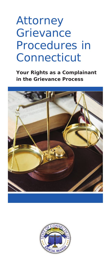# Attorney **Grievance** Procedures in **Connecticut**

**Your Rights as a Complainant in the Grievance Process**



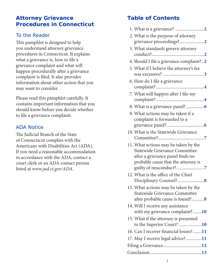#### **Attorney Grievance Procedures in Connecticut**

#### To the Reader

This pamphlet is designed to help you understand attorney grievance procedures in Connecticut. It explains what a grievance is, how to file a grievance complaint and what will happen procedurally after a grievance complaint is filed. It also provides information about other action that you may want to consider.

Please read this pamphlet carefully. It contains important information that you should know before you decide whether to file a grievance complaint.

## ADA Notice

The Judicial Branch of the State of Connecticut complies with the Americans with Disabilities Act (ADA). If you need a reasonable accommodation in accordance with the ADA, contact a court clerk or an ADA contact person listed at *www.jud.ct.gov/ADA*.

## **Table of Contents**

| 2. What is the purpose of attorney<br>grievance proceedings?2                                                                                    |
|--------------------------------------------------------------------------------------------------------------------------------------------------|
| 3. What standards govern attorney                                                                                                                |
| 4. Should I file a grievance complaint?2                                                                                                         |
| 5. What if I believe the attorney's fee                                                                                                          |
| 6. How do I file a grievance                                                                                                                     |
| 7. What will happen after I file my                                                                                                              |
|                                                                                                                                                  |
| 9. What actions may be taken if a<br>complaint is forwarded to a                                                                                 |
| 10. What is the Statewide Grievance                                                                                                              |
| 11. What actions may be taken by the<br>Statewide Grievance Committee<br>after a grievance panel finds no<br>probable cause that the attorney is |
| 12. What is the office of the Chief                                                                                                              |
| 13. What actions may be taken by the<br>Statewide Grievance Committee<br>after probable cause is found?8                                         |
| 14. Will I receive any assistance<br>with my grievance complaint?10                                                                              |
| 15. What if the attorney is presented<br>to the Superior Court?10                                                                                |
| 16. Can I recover financial losses?11                                                                                                            |
| 17. May I receive legal advice? 11                                                                                                               |
|                                                                                                                                                  |
|                                                                                                                                                  |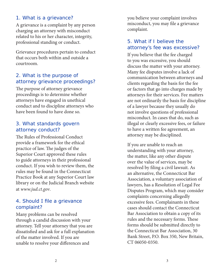#### 1. What is a grievance?

A grievance is a complaint by any person charging an attorney with misconduct related to his or her character, integrity, professional standing or conduct.

Grievance procedures pertain to conduct that occurs both within and outside a courtroom.

#### 2. What is the purpose of attorney grievance proceedings?

The purpose of attorney grievance proceedings is to determine whether attorneys have engaged in unethical conduct and to discipline attorneys who have been found to have done so.

#### 3. What standards govern attorney conduct?

The Rules of Professional Conduct provide a framework for the ethical practice of law. The judges of the Superior Court approved these rules to guide attorneys in their professional conduct. If you wish to review them, the rules may be found in the Connecticut Practice Book at any Superior Court law library or on the Judicial Branch website at *www.jud.ct.gov*.

#### 4. Should I file a grievance complaint?

Many problems can be resolved through a candid discussion with your attorney. Tell your attorney that you are dissatisfied and ask for a full explanation of the matter involved. If you are unable to resolve your differences and

you believe your complaint involves misconduct, you may file a grievance complaint.

#### 5. What if I believe the attorney's fee was excessive?

If you believe that the fee charged to you was excessive, you should discuss the matter with your attorney. Many fee disputes involve a lack of communication between attorneys and clients regarding the basis for the fee or factors that go into charges made by attorneys for their services. Fee matters are not ordinarily the basis for discipline of a lawyer because they usually do not involve questions of professional misconduct. In cases that do, such as illegal or clearly excessive fees, or failure to have a written fee agreement, an attorney may be disciplined.

If you are unable to reach an understanding with your attorney, the matter, like any other dispute over the value of services, may be resolved by filing a civil lawsuit. As an alternative, the Connecticut Bar Association, a voluntary association of lawyers, has a Resolution of Legal Fee Disputes Program, which may consider complaints concerning allegedly excessive fees. Complainants in these cases should contact the Connecticut Bar Association to obtain a copy of its rules and the necessary forms. These forms should be submitted directly to the Connecticut Bar Association, 30 Bank Street, P.O. Box 350, New Britain, CT 06050-0350.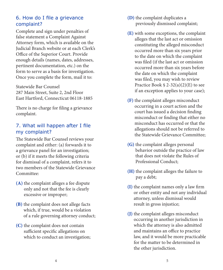## 6. How do I file a grievance complaint?

Complete and sign under penalties of false statement a Complaint Against Attorney form, which is available on the Judicial Branch website or at each Clerk's Office of the Superior Court. Provide enough details (names, dates, addresses, pertinent documentation, etc.) on the form to serve as a basis for investigation. Once you complete the form, mail it to:

Statewide Bar Counsel 287 Main Street, Suite 2, 2nd Floor East Hartford, Connecticut 06118-1885

There is no charge for filing a grievance complaint.

## 7. What will happen after I file my complaint?

The Statewide Bar Counsel reviews your complaint and either: (a) forwards it to a grievance panel for an investigation; or (b) if it meets the following criteria for dismissal of a complaint, refers it to two members of the Statewide Grievance Committee:

- **(A)** the complaint alleges a fee dispute only and not that the fee is clearly excessive or improper;
- **(B)** the complaint does not allege facts which, if true, would be a violation of a rule governing attorney conduct;
- **(C)** the complaint does not contain sufficient specific allegations on which to conduct an investigation;
- **(D)** the complaint duplicates a previously dismissed complaint;
- **(E)** with some exceptions, the complaint alleges that the last act or omission constituting the alleged misconduct occurred more than six years prior to the date on which the complaint was filed (if the last act or omission occurred more than six years before the date on which the complaint was filed, you may wish to review Practice Book § 2-32(a)(2)(E) to see if an exception applies to your case);
- **(F)** the complaint alleges misconduct occurring in a court action and the court has issued a decision finding misconduct or finding that either no misconduct has occurred or that the allegations should not be referred to the Statewide Grievance Committee;
- **(G)** the complaint alleges personal behavior outside the practice of law that does not violate the Rules of Professional Conduct;
- **(H)** the complaint alleges the failure to pay a debt;
- **(I)** the complaint names only a law firm or other entity and not any individual attorney, unless dismissal would result in gross injustice;
- **(J)** the complaint alleges misconduct occurring in another jurisdiction in which the attorney is also admitted and maintains an office to practice law, and it would be more practicable for the matter to be determined in the other jurisdiction.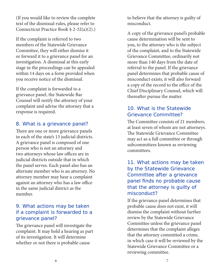(If you would like to review the complete text of the dismissal rules, please refer to Connecticut Practice Book § 2-32(a)(2).)

If the complaint is referred to two members of the Statewide Grievance Committee, they will either dismiss it or forward it to a grievance panel for an investigation. A dismissal at this early stage in the proceedings can be appealed within 14 days on a form provided when you receive notice of the dismissal.

If the complaint is forwarded to a grievance panel, the Statewide Bar Counsel will notify the attorney of your complaint and advise the attorney that a response is required.

## 8. What is a grievance panel?

There are one or more grievance panels in each of the state's 13 judicial districts. A grievance panel is composed of one person who is not an attorney and two attorneys whose law offices are in judicial districts outside that in which the panel serves. Each panel also has an alternate member who is an attorney. No attorney member may hear a complaint against an attorney who has a law office in the same judicial district as the member.

#### 9. What actions may be taken if a complaint is forwarded to a grievance panel?

The grievance panel will investigate the complaint. It may hold a hearing as part of its investigation. It will determine whether or not there is probable cause

to believe that the attorney is guilty of misconduct.

A copy of the grievance panel's probable cause determination will be sent to you, to the attorney who is the subject of the complaint, and to the Statewide Grievance Committee, ordinarily not more than 140 days from the date of referral to the panel. If the grievance panel determines that probable cause of misconduct exists, it will also forward a copy of the record to the office of the Chief Disciplinary Counsel, which will thereafter pursue the matter.

#### 10. What is the Statewide Grievance Committee?

The Committee consists of 21 members, at least seven of whom are not attorneys. The Statewide Grievance Committee may act as a full committee or through subcommittees known as reviewing committees.

## 11. What actions may be taken by the Statewide Grievance Committee after a grievance panel finds no probable cause that the attorney is guilty of misconduct?

If the grievance panel determines that probable cause does not exist, it will dismiss the complaint without further review by the Statewide Grievance Committee unless the grievance panel determines that the complaint alleges that the attorney committed a crime, in which case it will be reviewed by the Statewide Grievance Committee or a reviewing committee.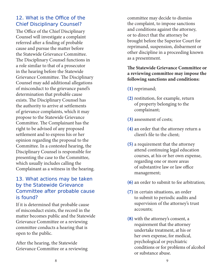## 12. What is the Office of the Chief Disciplinary Counsel?

The Office of the Chief Disciplinary Counsel will investigate a complaint referred after a finding of probable cause and pursue the matter before the Statewide Grievance Committee. The Disciplinary Counsel functions in a role similar to that of a prosecutor in the hearing before the Statewide Grievance Committee. The Disciplinary Counsel may add additional allegations of misconduct to the grievance panel's determination that probable cause exists. The Disciplinary Counsel has the authority to arrive at settlements of grievance complaints, which it may propose to the Statewide Grievance Committee. The Complainant has the right to be advised of any proposed settlement and to express his or her opinion regarding the proposal to the Committee. In a contested hearing, the Disciplinary Counsel is responsible for presenting the case to the Committee, which usually includes calling the Complainant as a witness in the hearing.

#### 13. What actions may be taken by the Statewide Grievance Committee after probable cause is found?

If it is determined that probable cause of misconduct exists, the record in the matter becomes public and the Statewide Grievance Committee or a reviewing committee conducts a hearing that is open to the public.

After the hearing, the Statewide Grievance Committee or a reviewing

committee may decide to dismiss the complaint, to impose sanctions and conditions against the attorney, or to direct that the attorney be brought before the Superior Court for reprimand, suspension, disbarment or other discipline in a proceeding known as a presentment.

#### **The Statewide Grievance Committee or a reviewing committee may impose the following sanctions and conditions:**

**(1)** reprimand;

- **(2)** restitution, for example, return of property belonging to the complainant;
- **(3)** assessment of costs;
- **(4)** an order that the attorney return a client's file to the client;
- **(5)** a requirement that the attorney attend continuing legal education courses, at his or her own expense, regarding one or more areas of substantive law or law office management;
- **(6)** an order to submit to fee arbitration;
- **(7)** in certain situations, an order to submit to periodic audits and supervision of the attorney's trust accounts;
- **(8)** with the attorney's consent, a requirement that the attorney undertake treatment, at his or her own expense, for medical, psychological or psychiatric conditions or for problems of alcohol or substance abuse.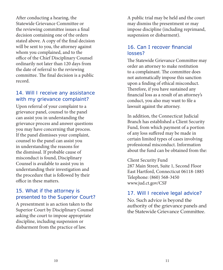After conducting a hearing, the Statewide Grievance Committee or the reviewing committee issues a final decision containing one of the orders stated above. A copy of the final decision will be sent to you, the attorney against whom you complained, and to the office of the Chief Disciplinary Counsel ordinarily not later than 120 days from the date of referral to the reviewing committee. The final decision is a public record.

#### 14. Will I receive any assistance with my grievance complaint?

Upon referral of your complaint to a grievance panel, counsel to the panel can assist you in understanding the grievance process and answer questions you may have concerning that process. If the panel dismisses your complaint, counsel to the panel can assist you in understanding the reasons for the dismissal. If probable cause of misconduct is found, Disciplinary Counsel is available to assist you in understanding their investigation and the procedure that is followed by their office in these matters.

#### 15. What if the attorney is presented to the Superior Court?

A presentment is an action taken to the Superior Court by Disciplinary Counsel asking the court to impose appropriate discipline, including suspension or disbarment from the practice of law.

A public trial may be held and the court may dismiss the presentment or may impose discipline (including reprimand, suspension or disbarment).

#### 16. Can I recover financial losses?

The Statewide Grievance Committee may order an attorney to make restitution to a complainant. The committee does not automatically impose this sanction upon a finding of ethical misconduct. Therefore, if you have sustained any financial loss as a result of an attorney's conduct, you also may want to file a lawsuit against the attorney.

In addition, the Connecticut Judicial Branch has established a Client Security Fund, from which payment of a portion of any loss suffered may be made in certain limited types of cases involving professional misconduct. Information about the fund can be obtained from the:

Client Security Fund 287 Main Street, Suite 1, Second Floor East Hartford, Connecticut 06118-1885 Telephone: (860) 568-3450 www.jud.ct.gov/CSF

#### 17. Will I receive legal advice?

No. Such advice is beyond the authority of the grievance panels and the Statewide Grievance Committee.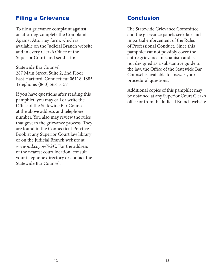## **Filing a Grievance**

To file a grievance complaint against an attorney, complete the Complaint Against Attorney form, which is available on the Judicial Branch website and in every Clerk's Office of the Superior Court, and send it to:

Statewide Bar Counsel 287 Main Street, Suite 2, 2nd Floor East Hartford, Connecticut 06118-1885 Telephone: (860) 568-5157

If you have questions after reading this pamphlet, you may call or write the Office of the Statewide Bar Counsel at the above address and telephone number. You also may review the rules that govern the grievance process. They are found in the Connecticut Practice Book at any Superior Court law library or on the Judicial Branch website at *www.jud.ct.gov/SGC*. For the address of the nearest court location, consult your telephone directory or contact the Statewide Bar Counsel.

## **Conclusion**

The Statewide Grievance Committee and the grievance panels seek fair and impartial enforcement of the Rules of Professional Conduct. Since this pamphlet cannot possibly cover the entire grievance mechanism and is not designed as a substantive guide to the law, the Office of the Statewide Bar Counsel is available to answer your procedural questions.

Additional copies of this pamphlet may be obtained at any Superior Court Clerk's office or from the Judicial Branch website.